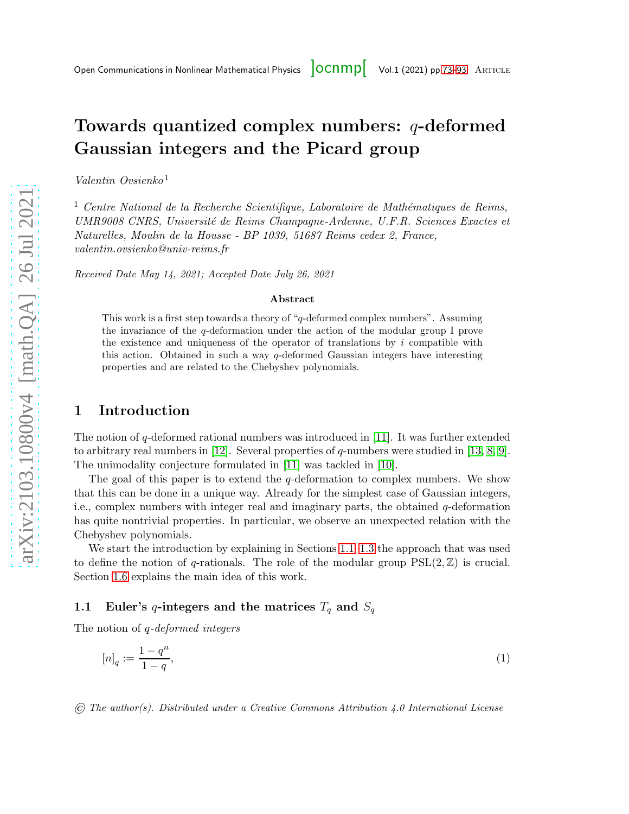# <span id="page-0-0"></span>Towards quantized complex numbers: q-deformed Gaussian integers and the Picard group

Valentin Ovsienko <sup>1</sup>

 $<sup>1</sup>$  Centre National de la Recherche Scientifique, Laboratoire de Mathématiques de Reims,</sup> UMR9008 CNRS, Universit´e de Reims Champagne-Ardenne, U.F.R. Sciences Exactes et Naturelles, Moulin de la Housse - BP 1039, 51687 Reims cedex 2, France, valentin.ovsienko@univ-reims.fr

Received Date May 14, 2021; Accepted Date July 26, 2021

#### Abstract

This work is a first step towards a theory of "q-deformed complex numbers". Assuming the invariance of the q-deformation under the action of the modular group I prove the existence and uniqueness of the operator of translations by  $i$  compatible with this action. Obtained in such a way q-deformed Gaussian integers have interesting properties and are related to the Chebyshev polynomials.

## 1 Introduction

The notion of q-deformed rational numbers was introduced in [\[11\]](#page-20-0). It was further extended to arbitrary real numbers in [\[12\]](#page-20-1). Several properties of  $q$ -numbers were studied in [\[13,](#page-20-2) [8,](#page-20-3) [9\]](#page-20-4). The unimodality conjecture formulated in [\[11\]](#page-20-0) was tackled in [\[10\]](#page-20-5).

The goal of this paper is to extend the q-deformation to complex numbers. We show that this can be done in a unique way. Already for the simplest case of Gaussian integers, i.e., complex numbers with integer real and imaginary parts, the obtained  $q$ -deformation has quite nontrivial properties. In particular, we observe an unexpected relation with the Chebyshev polynomials.

We start the introduction by explaining in Sections [1.1](#page-0-1)[–1.3](#page-2-0) the approach that was used to define the notion of q-rationals. The role of the modular group  $PSL(2,\mathbb{Z})$  is crucial. Section [1.6](#page-3-0) explains the main idea of this work.

## <span id="page-0-1"></span>1.1 Euler's q-integers and the matrices  $T_q$  and  $S_q$

The notion of q-deformed integers

<span id="page-0-2"></span>
$$
[n]_q := \frac{1 - q^n}{1 - q},\tag{1}
$$

© The author(s). Distributed under a Creative Commons Attribution 4.0 International License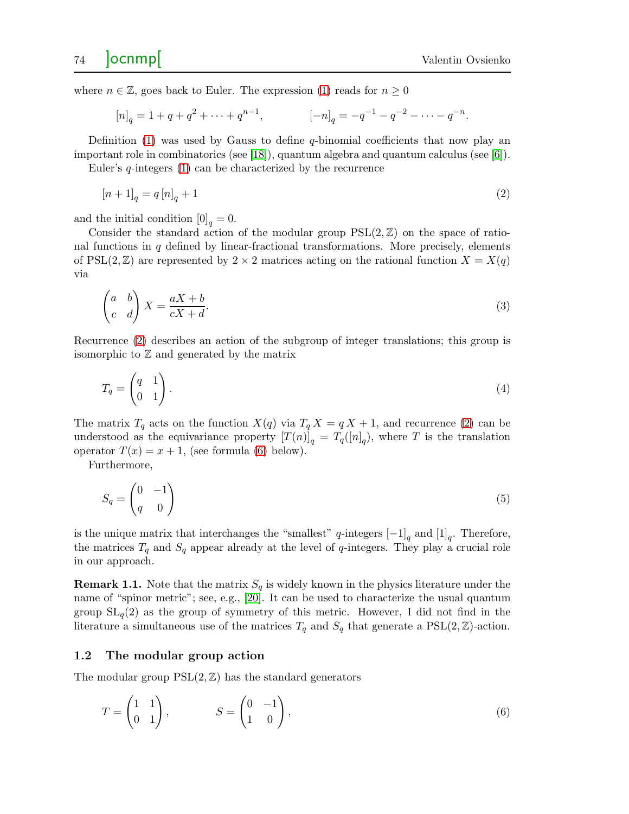where  $n \in \mathbb{Z}$ , goes back to Euler. The expression [\(1\)](#page-0-2) reads for  $n \geq 0$ 

<span id="page-1-0"></span>
$$
[n]_q = 1 + q + q^2 + \dots + q^{n-1}, \qquad [-n]_q = -q^{-1} - q^{-2} - \dots - q^{-n}.
$$

Definition  $(1)$  was used by Gauss to define q-binomial coefficients that now play an important role in combinatorics (see [\[18\]](#page-20-6)), quantum algebra and quantum calculus (see [\[6\]](#page-20-7)).

Euler's q-integers [\(1\)](#page-0-2) can be characterized by the recurrence

$$
[n+1]_q = q [n]_q + 1 \tag{2}
$$

and the initial condition  $[0]_q = 0$ .

Consider the standard action of the modular group  $PSL(2,\mathbb{Z})$  on the space of rational functions in q defined by linear-fractional transformations. More precisely, elements of PSL(2,  $\mathbb{Z}$ ) are represented by 2 × 2 matrices acting on the rational function  $X = X(q)$ via

<span id="page-1-4"></span>
$$
\begin{pmatrix} a & b \\ c & d \end{pmatrix} X = \frac{aX + b}{cX + d}.\tag{3}
$$

Recurrence [\(2\)](#page-1-0) describes an action of the subgroup of integer translations; this group is isomorphic to  $\mathbb Z$  and generated by the matrix

<span id="page-1-2"></span>
$$
T_q = \begin{pmatrix} q & 1 \\ 0 & 1 \end{pmatrix} . \tag{4}
$$

The matrix  $T_q$  acts on the function  $X(q)$  via  $T_q X = q X + 1$ , and recurrence [\(2\)](#page-1-0) can be understood as the equivariance property  $[T(n)]_q = T_q([n]_q)$ , where T is the translation operator  $T(x) = x + 1$ , (see formula [\(6\)](#page-1-1) below).

Furthermore,

<span id="page-1-3"></span>
$$
S_q = \begin{pmatrix} 0 & -1 \\ q & 0 \end{pmatrix} \tag{5}
$$

is the unique matrix that interchanges the "smallest" q-integers  $[-1]_q$  and  $[1]_q$ . Therefore, the matrices  $T_q$  and  $S_q$  appear already at the level of q-integers. They play a crucial role in our approach.

**Remark 1.1.** Note that the matrix  $S_q$  is widely known in the physics literature under the name of "spinor metric"; see, e.g., [\[20\]](#page-20-8). It can be used to characterize the usual quantum group  $SL_q(2)$  as the group of symmetry of this metric. However, I did not find in the literature a simultaneous use of the matrices  $T_q$  and  $S_q$  that generate a PSL(2,  $\mathbb{Z}$ )-action.

#### 1.2 The modular group action

The modular group  $PSL(2,\mathbb{Z})$  has the standard generators

<span id="page-1-1"></span>
$$
T = \begin{pmatrix} 1 & 1 \\ 0 & 1 \end{pmatrix}, \qquad S = \begin{pmatrix} 0 & -1 \\ 1 & 0 \end{pmatrix}, \tag{6}
$$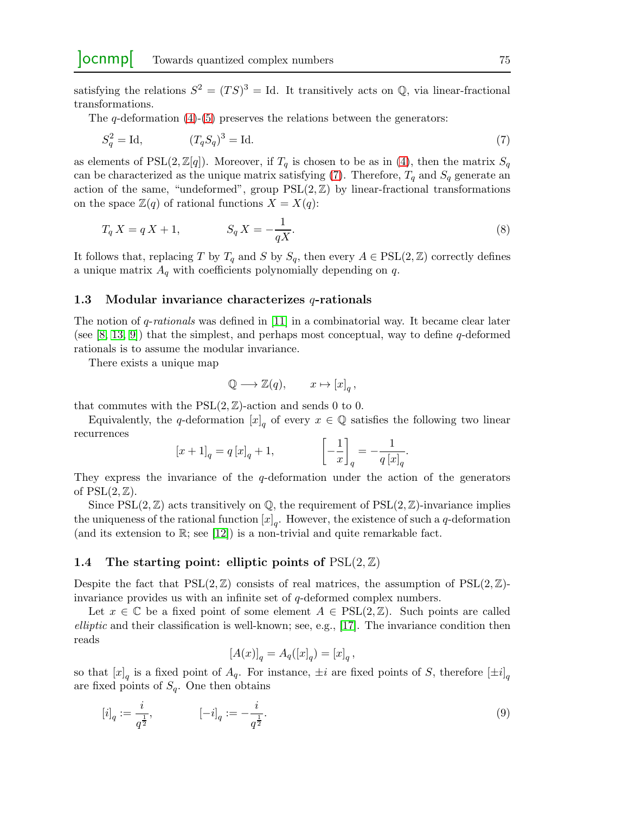satisfying the relations  $S^2 = (TS)^3 = Id$ . It transitively acts on Q, via linear-fractional transformations.

The  $q$ -deformation  $(4)-(5)$  $(4)-(5)$  preserves the relations between the generators:

$$
S_q^2 = \text{Id}, \qquad (T_q S_q)^3 = \text{Id}. \tag{7}
$$

as elements of PSL(2,  $\mathbb{Z}[q]$ ). Moreover, if  $T_q$  is chosen to be as in [\(4\)](#page-1-2), then the matrix  $S_q$ can be characterized as the unique matrix satisfying [\(7\)](#page-2-1). Therefore,  $T_q$  and  $S_q$  generate an action of the same, "undeformed", group  $PSL(2,\mathbb{Z})$  by linear-fractional transformations on the space  $\mathbb{Z}(q)$  of rational functions  $X = X(q)$ :

$$
T_q X = q X + 1, \qquad S_q X = -\frac{1}{qX}.\tag{8}
$$

It follows that, replacing T by  $T_q$  and S by  $S_q$ , then every  $A \in \text{PSL}(2,\mathbb{Z})$  correctly defines a unique matrix  $A_q$  with coefficients polynomially depending on  $q$ .

### <span id="page-2-0"></span>1.3 Modular invariance characterizes  $q$ -rationals

The notion of  $q$ -rationals was defined in [\[11\]](#page-20-0) in a combinatorial way. It became clear later (see [\[8,](#page-20-3) [13,](#page-20-2) [9\]](#page-20-4)) that the simplest, and perhaps most conceptual, way to define q-deformed rationals is to assume the modular invariance.

There exists a unique map

<span id="page-2-1"></span>
$$
\mathbb{Q} \longrightarrow \mathbb{Z}(q), \qquad x \mapsto [x]_q \,,
$$

that commutes with the  $PSL(2, \mathbb{Z})$ -action and sends 0 to 0.

Equivalently, the q-deformation  $[x]_q$  of every  $x \in \mathbb{Q}$  satisfies the following two linear recurrences

$$
[x+1]_q = q [x]_q + 1,
$$
\n
$$
\left[-\frac{1}{x}\right]_q = -\frac{1}{q [x]_q}.
$$

They express the invariance of the  $q$ -deformation under the action of the generators of  $PSL(2,\mathbb{Z})$ .

Since  $PSL(2,\mathbb{Z})$  acts transitively on  $\mathbb{Q}$ , the requirement of  $PSL(2,\mathbb{Z})$ -invariance implies the uniqueness of the rational function  $[x]_q$ . However, the existence of such a q-deformation (and its extension to  $\mathbb{R}$ ; see [\[12\]](#page-20-1)) is a non-trivial and quite remarkable fact.

#### 1.4 The starting point: elliptic points of  $PSL(2, \mathbb{Z})$

Despite the fact that  $PSL(2,\mathbb{Z})$  consists of real matrices, the assumption of  $PSL(2,\mathbb{Z})$ invariance provides us with an infinite set of q-deformed complex numbers.

Let  $x \in \mathbb{C}$  be a fixed point of some element  $A \in \text{PSL}(2, \mathbb{Z})$ . Such points are called elliptic and their classification is well-known; see, e.g.,  $[17]$ . The invariance condition then reads

<span id="page-2-2"></span>
$$
[A(x)]_q = A_q([x]_q) = [x]_q,
$$

so that  $[x]_q$  is a fixed point of  $A_q$ . For instance,  $\pm i$  are fixed points of S, therefore  $[\pm i]_q$ are fixed points of  $S_q$ . One then obtains

$$
[i]_q := \frac{i}{q^{\frac{1}{2}}}, \qquad [-i]_q := -\frac{i}{q^{\frac{1}{2}}}.
$$
\n(9)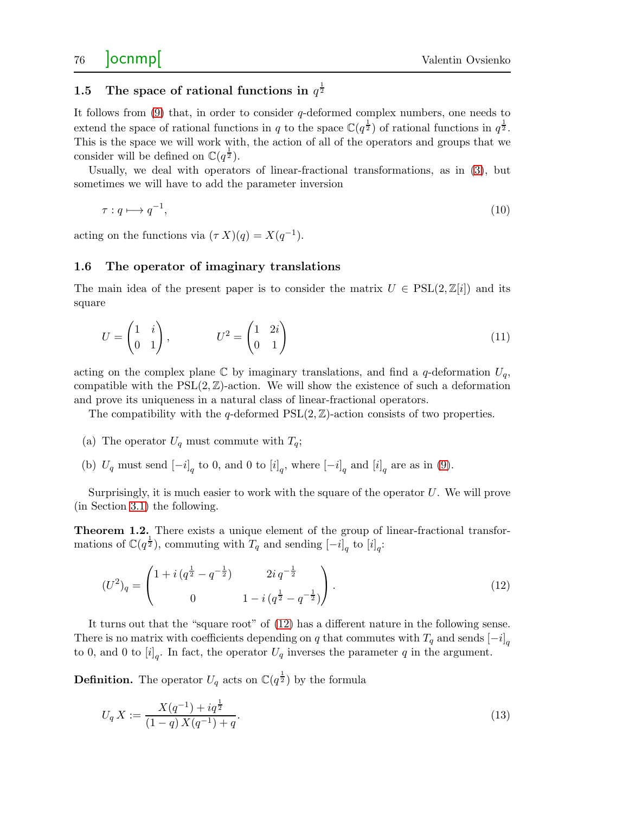## 1.5 The space of rational functions in  $q^{\frac{1}{2}}$

It follows from  $(9)$  that, in order to consider q-deformed complex numbers, one needs to extend the space of rational functions in q to the space  $\mathbb{C}(q^{\frac{1}{2}})$  of rational functions in  $q^{\frac{1}{2}}$ . This is the space we will work with, the action of all of the operators and groups that we consider will be defined on  $\mathbb{C}(q^{\frac{1}{2}})$ .

Usually, we deal with operators of linear-fractional transformations, as in [\(3\)](#page-1-4), but sometimes we will have to add the parameter inversion

<span id="page-3-2"></span>
$$
\tau: q \longmapsto q^{-1},\tag{10}
$$

acting on the functions via  $(\tau X)(q) = X(q^{-1}).$ 

### <span id="page-3-0"></span>1.6 The operator of imaginary translations

The main idea of the present paper is to consider the matrix  $U \in \text{PSL}(2,\mathbb{Z}[i])$  and its square

$$
U = \begin{pmatrix} 1 & i \\ 0 & 1 \end{pmatrix}, \qquad U^2 = \begin{pmatrix} 1 & 2i \\ 0 & 1 \end{pmatrix}
$$
 (11)

acting on the complex plane  $\mathbb C$  by imaginary translations, and find a q-deformation  $U_q$ , compatible with the  $PSL(2,\mathbb{Z})$ -action. We will show the existence of such a deformation and prove its uniqueness in a natural class of linear-fractional operators.

The compatibility with the q-deformed  $PSL(2,\mathbb{Z})$ -action consists of two properties.

- (a) The operator  $U_q$  must commute with  $T_q$ ;
- (b)  $U_q$  must send  $[-i]_q$  to 0, and 0 to  $[i]_q$ , where  $[-i]_q$  and  $[i]_q$  are as in [\(9\)](#page-2-2).

Surprisingly, it is much easier to work with the square of the operator  $U$ . We will prove (in Section [3.1\)](#page-6-0) the following.

<span id="page-3-3"></span>**Theorem 1.2.** There exists a unique element of the group of linear-fractional transformations of  $\mathbb{C}(q^{\frac{1}{2}})$ , commuting with  $T_q$  and sending  $[-i]_q$  to  $[i]_q$ :

<span id="page-3-1"></span>
$$
(U^2)_q = \begin{pmatrix} 1 + i \left( q^{\frac{1}{2}} - q^{-\frac{1}{2}} \right) & 2i \, q^{-\frac{1}{2}} \\ 0 & 1 - i \left( q^{\frac{1}{2}} - q^{-\frac{1}{2}} \right) \end{pmatrix} . \tag{12}
$$

It turns out that the "square root" of [\(12\)](#page-3-1) has a different nature in the following sense. There is no matrix with coefficients depending on q that commutes with  $T_q$  and sends  $[-i]_q$ to 0, and 0 to  $[i]_q$ . In fact, the operator  $U_q$  inverses the parameter q in the argument.

**Definition.** The operator  $U_q$  acts on  $\mathbb{C}(q^{\frac{1}{2}})$  by the formula

<span id="page-3-4"></span>
$$
U_q X := \frac{X(q^{-1}) + iq^{\frac{1}{2}}}{(1-q)X(q^{-1}) + q}.
$$
\n(13)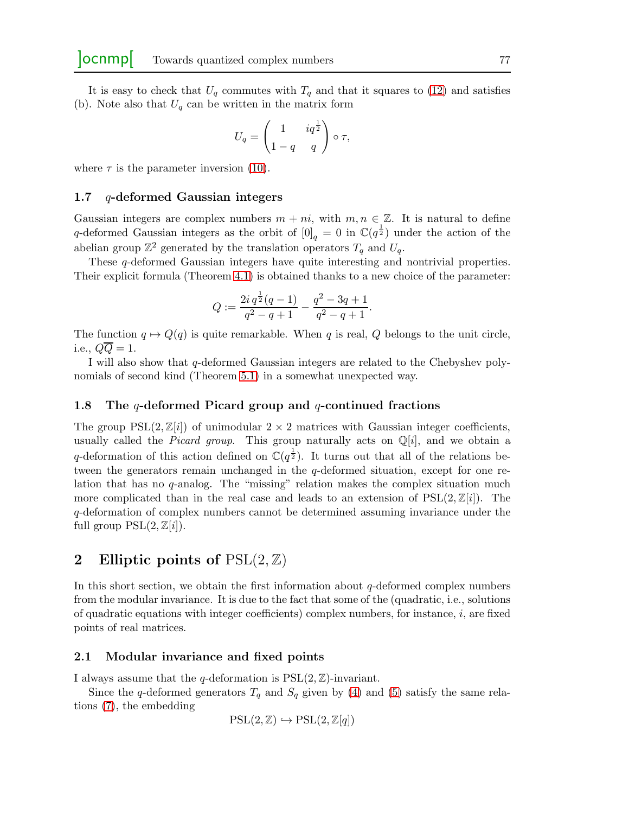It is easy to check that  $U_q$  commutes with  $T_q$  and that it squares to [\(12\)](#page-3-1) and satisfies (b). Note also that  $U_q$  can be written in the matrix form

$$
U_q = \begin{pmatrix} 1 & iq^{\frac{1}{2}} \\ 1-q & q \end{pmatrix} \circ \tau,
$$

where  $\tau$  is the parameter inversion [\(10\)](#page-3-2).

#### 1.7 q-deformed Gaussian integers

Gaussian integers are complex numbers  $m + ni$ , with  $m, n \in \mathbb{Z}$ . It is natural to define q-deformed Gaussian integers as the orbit of  $[0]_q = 0$  in  $\mathbb{C}(q^{\frac{1}{2}})$  under the action of the abelian group  $\mathbb{Z}^2$  generated by the translation operators  $T_q$  and  $U_q$ .

These q-deformed Gaussian integers have quite interesting and nontrivial properties. Their explicit formula (Theorem [4.1\)](#page-11-0) is obtained thanks to a new choice of the parameter:

$$
Q := \frac{2i q^{\frac{1}{2}}(q-1)}{q^2 - q + 1} - \frac{q^2 - 3q + 1}{q^2 - q + 1}.
$$

The function  $q \mapsto Q(q)$  is quite remarkable. When q is real, Q belongs to the unit circle, i.e.,  $QQ = 1$ .

I will also show that q-deformed Gaussian integers are related to the Chebyshev polynomials of second kind (Theorem [5.1\)](#page-15-0) in a somewhat unexpected way.

#### 1.8 The q-deformed Picard group and q-continued fractions

The group  $PSL(2,\mathbb{Z}[i])$  of unimodular  $2\times 2$  matrices with Gaussian integer coefficients, usually called the *Picard group*. This group naturally acts on  $\mathbb{Q}[i]$ , and we obtain a q-deformation of this action defined on  $\mathbb{C}(q^{\frac{1}{2}})$ . It turns out that all of the relations between the generators remain unchanged in the q-deformed situation, except for one relation that has no  $q$ -analog. The "missing" relation makes the complex situation much more complicated than in the real case and leads to an extension of  $PSL(2,\mathbb{Z}[i])$ . The q-deformation of complex numbers cannot be determined assuming invariance under the full group  $PSL(2,\mathbb{Z}[i]).$ 

## 2 Elliptic points of  $PSL(2, \mathbb{Z})$

In this short section, we obtain the first information about  $q$ -deformed complex numbers from the modular invariance. It is due to the fact that some of the (quadratic, i.e., solutions of quadratic equations with integer coefficients) complex numbers, for instance,  $i$ , are fixed points of real matrices.

#### 2.1 Modular invariance and fixed points

I always assume that the q-deformation is  $PSL(2,\mathbb{Z})$ -invariant.

Since the q-deformed generators  $T_q$  and  $S_q$  given by [\(4\)](#page-1-2) and [\(5\)](#page-1-3) satisfy the same relations [\(7\)](#page-2-1), the embedding

$$
\mathrm{PSL}(2,\mathbb{Z}) \hookrightarrow \mathrm{PSL}(2,\mathbb{Z}[q])
$$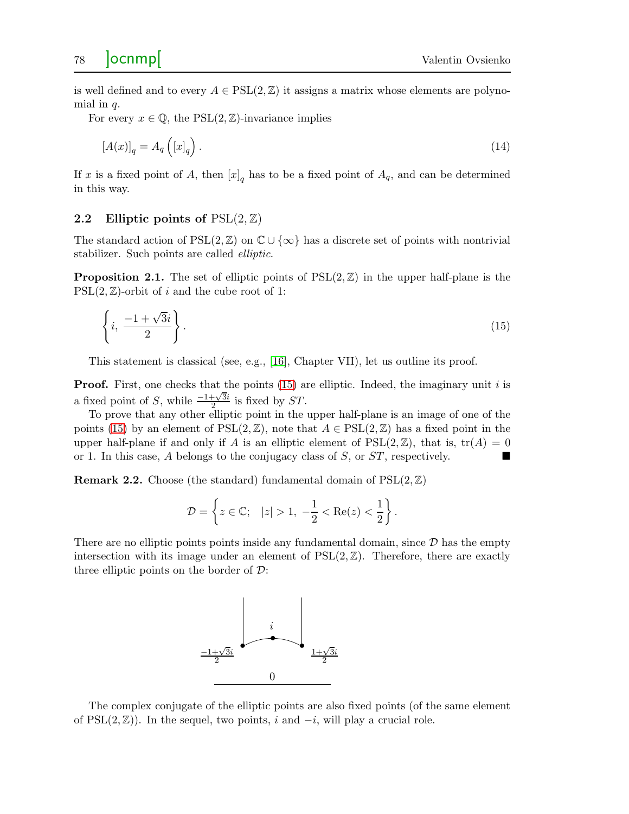is well defined and to every  $A \in \text{PSL}(2,\mathbb{Z})$  it assigns a matrix whose elements are polynomial in  $q$ .

For every  $x \in \mathbb{Q}$ , the PSL $(2, \mathbb{Z})$ -invariance implies

$$
[A(x)]_q = A_q([x]_q). \tag{14}
$$

If x is a fixed point of A, then  $[x]_q$  has to be a fixed point of  $A_q$ , and can be determined in this way.

#### 2.2 Elliptic points of  $PSL(2, \mathbb{Z})$

The standard action of  $PSL(2,\mathbb{Z})$  on  $\mathbb{C}\cup\{\infty\}$  has a discrete set of points with nontrivial stabilizer. Such points are called elliptic.

**Proposition 2.1.** The set of elliptic points of  $PSL(2,\mathbb{Z})$  in the upper half-plane is the  $PSL(2,\mathbb{Z})$ -orbit of i and the cube root of 1:

<span id="page-5-0"></span>
$$
\left\{i, \frac{-1+\sqrt{3}i}{2}\right\}.
$$
\n<sup>(15)</sup>

This statement is classical (see, e.g., [\[16\]](#page-20-10), Chapter VII), let us outline its proof.

**Proof.** First, one checks that the points  $(15)$  are elliptic. Indeed, the imaginary unit i is a fixed point of S, while  $\frac{-1+\sqrt{3}i}{2}$  $\frac{1+\sqrt{3i}}{2}$  is fixed by ST.

To prove that any other elliptic point in the upper half-plane is an image of one of the points [\(15\)](#page-5-0) by an element of  $PSL(2,\mathbb{Z})$ , note that  $A \in \text{PSL}(2,\mathbb{Z})$  has a fixed point in the upper half-plane if and only if A is an elliptic element of  $PSL(2,\mathbb{Z})$ , that is,  $tr(A) = 0$ or 1. In this case, A belongs to the conjugacy class of S, or  $ST$ , respectively.

**Remark 2.2.** Choose (the standard) fundamental domain of  $PSL(2, \mathbb{Z})$ 

$$
\mathcal{D} = \left\{ z \in \mathbb{C}; \quad |z| > 1, \ -\frac{1}{2} < \text{Re}(z) < \frac{1}{2} \right\}.
$$

There are no elliptic points points inside any fundamental domain, since  $\mathcal D$  has the empty intersection with its image under an element of  $PSL(2, \mathbb{Z})$ . Therefore, there are exactly three elliptic points on the border of  $\mathcal{D}$ :



The complex conjugate of the elliptic points are also fixed points (of the same element of PSL $(2,\mathbb{Z})$ ). In the sequel, two points, i and  $-i$ , will play a crucial role.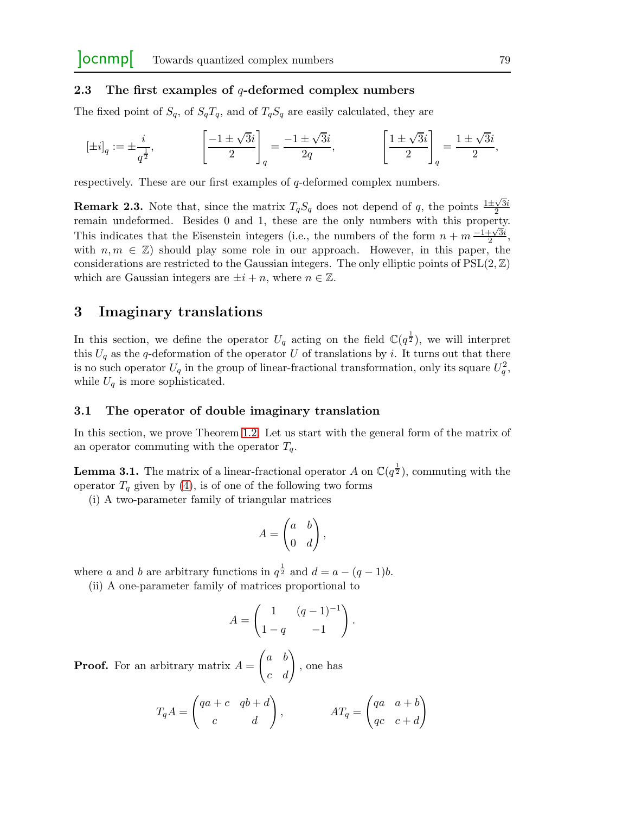### 2.3 The first examples of  $q$ -deformed complex numbers

The fixed point of  $S_q$ , of  $S_qT_q$ , and of  $T_qS_q$  are easily calculated, they are

$$
[\pm i]_q:=\pm\frac{i}{q^{\frac{1}{2}}}, \qquad \qquad \left[\frac{-1\pm\sqrt{3}i}{2}\right]_q=\frac{-1\pm\sqrt{3}i}{2q}, \qquad \qquad \left[\frac{1\pm\sqrt{3}i}{2}\right]_q=\frac{1\pm\sqrt{3}i}{2},
$$

respectively. These are our first examples of q-deformed complex numbers.

**Remark 2.3.** Note that, since the matrix  $T_qS_q$  does not depend of q, the points  $\frac{1\pm\sqrt{3}i}{2}$ 2 remain undeformed. Besides 0 and 1, these are the only numbers with this property. This indicates that the Eisenstein integers (i.e., the numbers of the form  $n + m \frac{1 + \sqrt{3}i}{2}$  $\frac{1+\sqrt{3}i}{2},$ with  $n, m \in \mathbb{Z}$ ) should play some role in our approach. However, in this paper, the considerations are restricted to the Gaussian integers. The only elliptic points of  $PSL(2,\mathbb{Z})$ which are Gaussian integers are  $\pm i + n$ , where  $n \in \mathbb{Z}$ .

## 3 Imaginary translations

In this section, we define the operator  $U_q$  acting on the field  $\mathbb{C}(q^{\frac{1}{2}})$ , we will interpret this  $U_q$  as the q-deformation of the operator U of translations by i. It turns out that there is no such operator  $U_q$  in the group of linear-fractional transformation, only its square  $U_q^2$ , while  $U_q$  is more sophisticated.

#### <span id="page-6-0"></span>3.1 The operator of double imaginary translation

In this section, we prove Theorem [1.2.](#page-3-3) Let us start with the general form of the matrix of an operator commuting with the operator  $T_a$ .

<span id="page-6-1"></span>**Lemma 3.1.** The matrix of a linear-fractional operator A on  $\mathbb{C}(q^{\frac{1}{2}})$ , commuting with the operator  $T_q$  given by [\(4\)](#page-1-2), is of one of the following two forms

(i) A two-parameter family of triangular matrices

$$
A = \begin{pmatrix} a & b \\ 0 & d \end{pmatrix},
$$

where a and b are arbitrary functions in  $q^{\frac{1}{2}}$  and  $d = a - (q - 1)b$ .

(ii) A one-parameter family of matrices proportional to

$$
A = \begin{pmatrix} 1 & (q-1)^{-1} \\ 1-q & -1 \end{pmatrix}.
$$

**Proof.** For an arbitrary matrix  $A =$  $\begin{pmatrix} a & b \\ c & d \end{pmatrix}$ , one has

$$
T_q A = \begin{pmatrix} qa+c & qb+d \\ c & d \end{pmatrix}, \qquad AT_q = \begin{pmatrix} qa & a+b \\ qc & c+d \end{pmatrix}
$$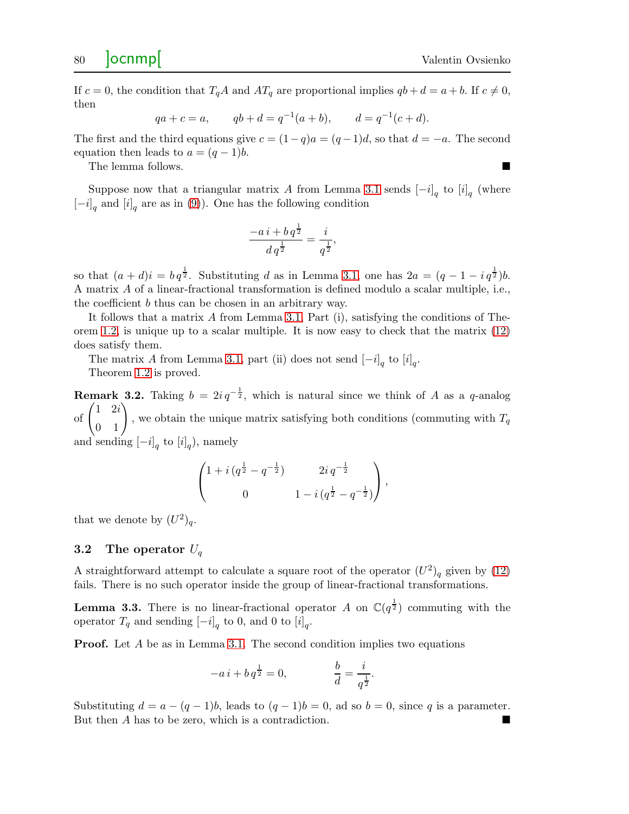If  $c = 0$ , the condition that  $T_qA$  and  $AT_q$  are proportional implies  $qb + d = a + b$ . If  $c \neq 0$ , then

$$
qa + c = a
$$
,  $qb + d = q^{-1}(a + b)$ ,  $d = q^{-1}(c + d)$ .

The first and the third equations give  $c = (1-q)a = (q-1)d$ , so that  $d = -a$ . The second equation then leads to  $a = (q-1)b$ .

The lemma follows.

Suppose now that a triangular matrix A from Lemma [3.1](#page-6-1) sends  $[-i]_q$  to  $[i]_q$  (where  $[-i]_q$  and  $[i]_q$  are as in [\(9\)](#page-2-2)). One has the following condition

$$
\frac{-a i + b q^{\frac{1}{2}}}{d q^{\frac{1}{2}}} = \frac{i}{q^{\frac{1}{2}}},
$$

so that  $(a+d)i = b q^{\frac{1}{2}}$ . Substituting d as in Lemma [3.1,](#page-6-1) one has  $2a = (q-1-i q^{\frac{1}{2}})b$ . A matrix A of a linear-fractional transformation is defined modulo a scalar multiple, i.e., the coefficient b thus can be chosen in an arbitrary way.

It follows that a matrix  $A$  from Lemma [3.1,](#page-6-1) Part (i), satisfying the conditions of Theorem [1.2,](#page-3-3) is unique up to a scalar multiple. It is now easy to check that the matrix [\(12\)](#page-3-1) does satisfy them.

The matrix A from Lemma [3.1,](#page-6-1) part (ii) does not send  $[-i]_q$  to  $[i]_q$ .

Theorem [1.2](#page-3-3) is proved.

**Remark 3.2.** Taking  $b = 2i q^{-\frac{1}{2}}$ , which is natural since we think of A as a q-analog of  $\begin{pmatrix} 1 & 2i \\ 0 & 1 \end{pmatrix}$ , we obtain the unique matrix satisfying both conditions (commuting with  $T_q$ ) and sending  $[-i]_q$  to  $[i]_q$ ), namely

$$
\begin{pmatrix} 1 + i \left( q^{\frac{1}{2}} - q^{-\frac{1}{2}} \right) & 2i \, q^{-\frac{1}{2}} \\ 0 & 1 - i \left( q^{\frac{1}{2}} - q^{-\frac{1}{2}} \right) \end{pmatrix},
$$

that we denote by  $(U^2)_q$ .

### 3.2 The operator  $U_q$

A straightforward attempt to calculate a square root of the operator  $(U^2)_q$  given by [\(12\)](#page-3-1) fails. There is no such operator inside the group of linear-fractional transformations.

**Lemma 3.3.** There is no linear-fractional operator A on  $\mathbb{C}(q^{\frac{1}{2}})$  commuting with the operator  $T_q$  and sending  $[-i]_q$  to 0, and 0 to  $[i]_q$ .

**Proof.** Let A be as in Lemma [3.1.](#page-6-1) The second condition implies two equations

$$
-a i + b q^{\frac{1}{2}} = 0, \qquad \frac{b}{d} = \frac{i}{q^{\frac{1}{2}}}.
$$

Substituting  $d = a - (q - 1)b$ , leads to  $(q - 1)b = 0$ , ad so  $b = 0$ , since q is a parameter. But then A has to be zero, which is a contradiction.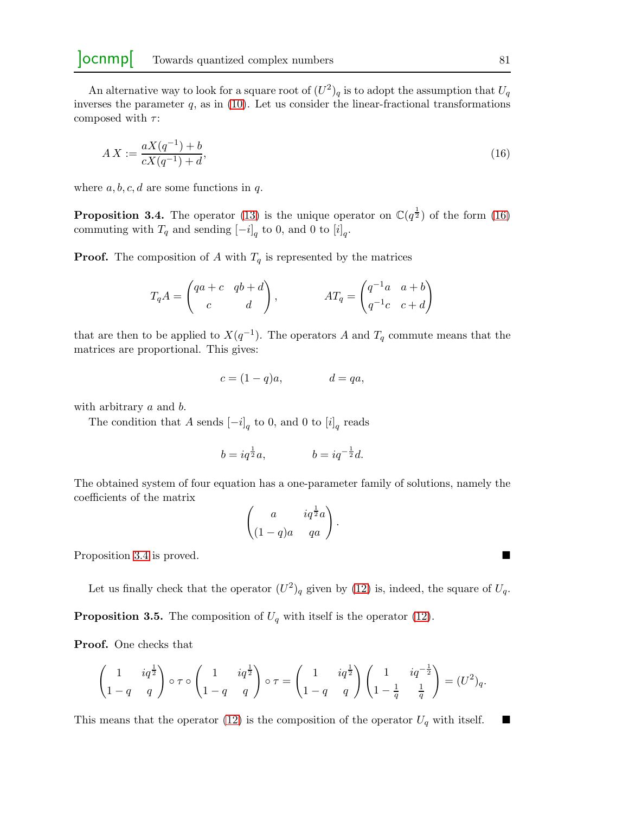An alternative way to look for a square root of  $(U^2)_q$  is to adopt the assumption that  $U_q$ inverses the parameter  $q$ , as in  $(10)$ . Let us consider the linear-fractional transformations composed with  $\tau$ :

<span id="page-8-0"></span>
$$
AX := \frac{aX(q^{-1}) + b}{cX(q^{-1}) + d},\tag{16}
$$

where  $a, b, c, d$  are some functions in q.

<span id="page-8-1"></span>**Proposition 3.4.** The operator [\(13\)](#page-3-4) is the unique operator on  $\mathbb{C}(q^{\frac{1}{2}})$  of the form [\(16\)](#page-8-0) commuting with  $T_q$  and sending  $\left[-i\right]_q$  to 0, and 0 to  $\left[i\right]_q$ .

**Proof.** The composition of A with  $T_q$  is represented by the matrices

$$
T_q A = \begin{pmatrix} qa+c & qb+d \\ c & d \end{pmatrix}, \qquad AT_q = \begin{pmatrix} q^{-1}a & a+b \\ q^{-1}c & c+d \end{pmatrix}
$$

that are then to be applied to  $X(q^{-1})$ . The operators A and  $T_q$  commute means that the matrices are proportional. This gives:

$$
c = (1 - q)a, \qquad d = qa,
$$

with arbitrary a and b.

The condition that A sends  $[-i]_q$  to 0, and 0 to  $[i]_q$  reads

$$
b = iq^{\frac{1}{2}}a
$$
,  $b = iq^{-\frac{1}{2}}d$ .

The obtained system of four equation has a one-parameter family of solutions, namely the coefficients of the matrix

$$
\begin{pmatrix} a & iq^{\frac{1}{2}}a \\ (1-q)a & qa \end{pmatrix}.
$$

Proposition [3.4](#page-8-1) is proved.

Let us finally check that the operator  $(U^2)_q$  given by [\(12\)](#page-3-1) is, indeed, the square of  $U_q$ .

**Proposition 3.5.** The composition of  $U_q$  with itself is the operator [\(12\)](#page-3-1).

Proof. One checks that

$$
\begin{pmatrix} 1 & iq^{\frac{1}{2}} \\ 1-q & q \end{pmatrix} \circ \tau \circ \begin{pmatrix} 1 & iq^{\frac{1}{2}} \\ 1-q & q \end{pmatrix} \circ \tau = \begin{pmatrix} 1 & iq^{\frac{1}{2}} \\ 1-q & q \end{pmatrix} \begin{pmatrix} 1 & iq^{-\frac{1}{2}} \\ 1-\frac{1}{q} & \frac{1}{q} \end{pmatrix} = (U^2)_q.
$$

This means that the operator [\(12\)](#page-3-1) is the composition of the operator  $U_q$  with itself.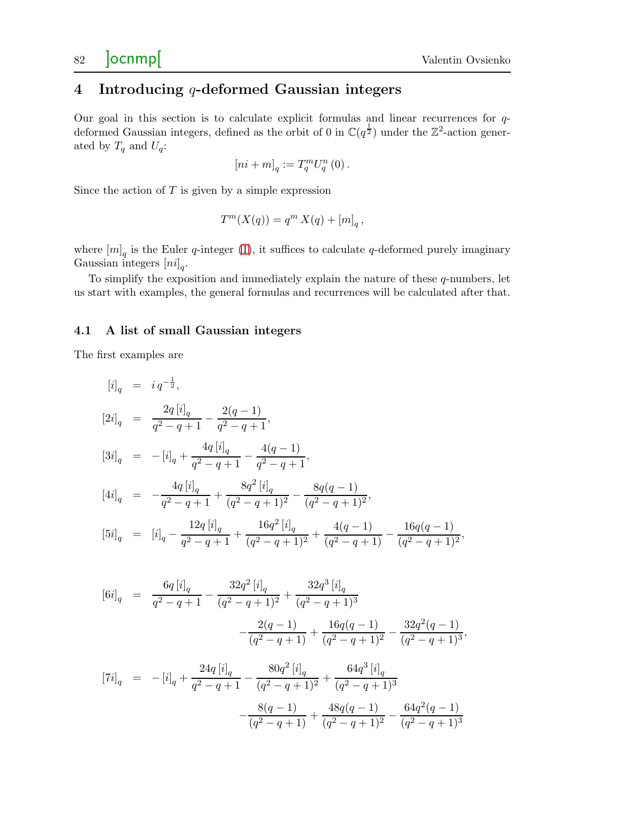## 4 Introducing q-deformed Gaussian integers

Our goal in this section is to calculate explicit formulas and linear recurrences for qdeformed Gaussian integers, defined as the orbit of 0 in  $\mathbb{C}(q^{\frac{1}{2}})$  under the  $\mathbb{Z}^2$ -action generated by  $T_q$  and  $U_q$ :

$$
\left[ ni+m\right] _{q}:=T_{q}^{m}U_{q}^{n}\left( 0\right) .
$$

Since the action of  $T$  is given by a simple expression

$$
T^m(X(q)) = q^m X(q) + [m]_q,
$$

where  $[m]_q$  is the Euler q-integer [\(1\)](#page-0-2), it suffices to calculate q-deformed purely imaginary Gaussian integers  $[n_i]_q$ .

To simplify the exposition and immediately explain the nature of these q-numbers, let us start with examples, the general formulas and recurrences will be calculated after that.

#### <span id="page-9-0"></span>4.1 A list of small Gaussian integers

The first examples are

$$
[i]_q = i q^{-\frac{1}{2}},
$$
  
\n
$$
[2i]_q = \frac{2q [i]_q}{q^2 - q + 1} - \frac{2(q - 1)}{q^2 - q + 1},
$$
  
\n
$$
[3i]_q = -[i]_q + \frac{4q [i]_q}{q^2 - q + 1} - \frac{4(q - 1)}{q^2 - q + 1},
$$
  
\n
$$
[4i]_q = -\frac{4q [i]_q}{q^2 - q + 1} + \frac{8q^2 [i]_q}{(q^2 - q + 1)^2} - \frac{8q(q - 1)}{(q^2 - q + 1)^2},
$$
  
\n
$$
[5i]_q = [i]_q - \frac{12q [i]_q}{q^2 - q + 1} + \frac{16q^2 [i]_q}{(q^2 - q + 1)^2} + \frac{4(q - 1)}{(q^2 - q + 1)} - \frac{16q(q - 1)}{(q^2 - q + 1)^2},
$$

$$
[6i]_q = \frac{6q[i]_q}{q^2 - q + 1} - \frac{32q^2[i]_q}{(q^2 - q + 1)^2} + \frac{32q^3[i]_q}{(q^2 - q + 1)^3}
$$

$$
- \frac{2(q - 1)}{(q^2 - q + 1)} + \frac{16q(q - 1)}{(q^2 - q + 1)^2} - \frac{32q^2(q - 1)}{(q^2 - q + 1)^3},
$$

$$
[7i]_q = -[i]_q + \frac{24q[i]_q}{q^2 - q + 1} - \frac{80q^2[i]_q}{(q^2 - q + 1)^2} + \frac{64q^3[i]_q}{(q^2 - q + 1)^3}
$$

$$
- \frac{8(q - 1)}{(q^2 - q + 1)} + \frac{48q(q - 1)}{(q^2 - q + 1)^2} - \frac{64q^2(q - 1)}{(q^2 - q + 1)^3}
$$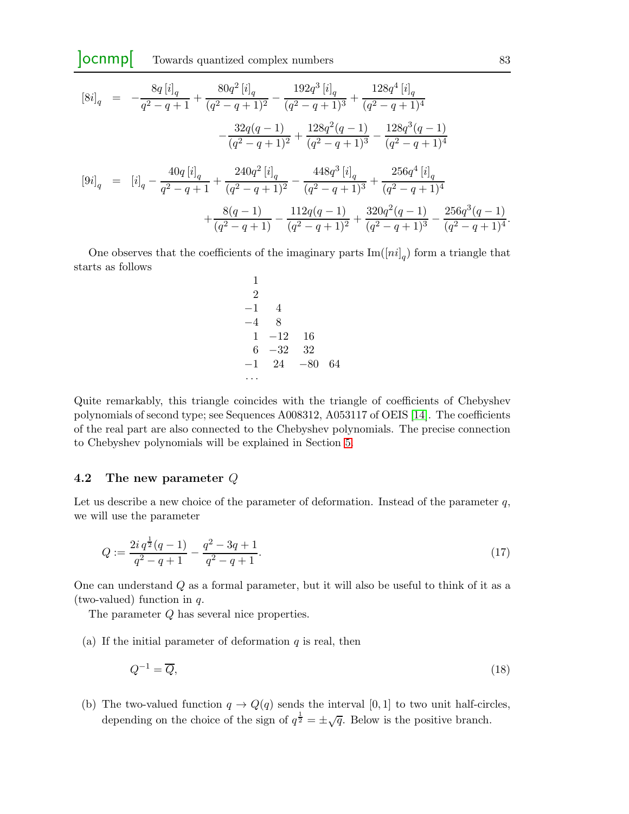$$
[8i]_q = -\frac{8q[i]_q}{q^2 - q + 1} + \frac{80q^2[i]_q}{(q^2 - q + 1)^2} - \frac{192q^3[i]_q}{(q^2 - q + 1)^3} + \frac{128q^4[i]_q}{(q^2 - q + 1)^4}
$$

$$
- \frac{32q(q - 1)}{(q^2 - q + 1)^2} + \frac{128q^2(q - 1)}{(q^2 - q + 1)^3} - \frac{128q^3(q - 1)}{(q^2 - q + 1)^4}
$$

$$
[9i]_q = [i]_q - \frac{40q[i]_q}{q^2 - q + 1} + \frac{240q^2[i]_q}{(q^2 - q + 1)^2} - \frac{448q^3[i]_q}{(q^2 - q + 1)^3} + \frac{256q^4[i]_q}{(q^2 - q + 1)^4}
$$

$$
+ \frac{8(q - 1)}{(q^2 - q + 1)} - \frac{112q(q - 1)}{(q^2 - q + 1)^2} + \frac{320q^2(q - 1)}{(q^2 - q + 1)^3} - \frac{256q^3(q - 1)}{(q^2 - q + 1)^4}.
$$

One observes that the coefficients of the imaginary parts  $\text{Im}([ni]_q)$  form a triangle that starts as follows

$$
\begin{array}{ccc}\n1 & 2 \\
2 & -1 & 4 \\
-4 & 8 \\
1 & -12 & 16 \\
6 & -32 & 32 \\
-1 & 24 & -80 & 64 \\
\cdots\n\end{array}
$$

Quite remarkably, this triangle coincides with the triangle of coefficients of Chebyshev polynomials of second type; see Sequences A008312, A053117 of OEIS [\[14\]](#page-20-11). The coefficients of the real part are also connected to the Chebyshev polynomials. The precise connection to Chebyshev polynomials will be explained in Section [5.](#page-13-0)

#### 4.2 The new parameter Q

Let us describe a new choice of the parameter of deformation. Instead of the parameter  $q$ , we will use the parameter

<span id="page-10-0"></span>
$$
Q := \frac{2i q^{\frac{1}{2}} (q-1)}{q^2 - q + 1} - \frac{q^2 - 3q + 1}{q^2 - q + 1}.
$$
\n(17)

One can understand Q as a formal parameter, but it will also be useful to think of it as a (two-valued) function in q.

The parameter Q has several nice properties.

(a) If the initial parameter of deformation  $q$  is real, then

<span id="page-10-1"></span>
$$
Q^{-1} = \overline{Q},\tag{18}
$$

(b) The two-valued function  $q \to Q(q)$  sends the interval [0, 1] to two unit half-circles, depending on the choice of the sign of  $q^{\frac{1}{2}} = \pm \sqrt{q}$ . Below is the positive branch.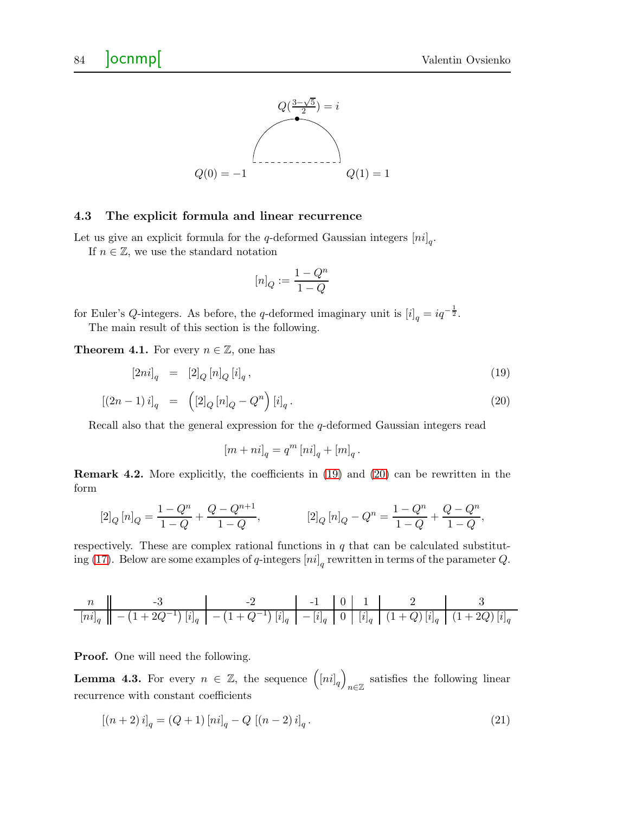

#### 4.3 The explicit formula and linear recurrence

Let us give an explicit formula for the q-deformed Gaussian integers  $\left[ni\right]_q$ . If  $n \in \mathbb{Z}$ , we use the standard notation

$$
[n]_Q:=\frac{1-Q^n}{1-Q}
$$

for Euler's Q-integers. As before, the q-deformed imaginary unit is  $[i]_q = iq^{-\frac{1}{2}}$ . The main result of this section is the following.

<span id="page-11-0"></span>**Theorem 4.1.** For every  $n \in \mathbb{Z}$ , one has

<span id="page-11-1"></span>
$$
\left[2ni\right]_q = \left[2\right]_Q \left[n\right]_Q \left[i\right]_q,\tag{19}
$$

$$
[(2n-1) i]_q = ([2]_Q [n]_Q - Q^n) [i]_q.
$$
\n(20)

Recall also that the general expression for the q-deformed Gaussian integers read

$$
\left[m+ni\right]_q = q^m \left[ni\right]_q + \left[m\right]_q.
$$

Remark 4.2. More explicitly, the coefficients in [\(19\)](#page-11-1) and [\(20\)](#page-11-1) can be rewritten in the form

$$
[2]_Q [n]_Q = \frac{1 - Q^n}{1 - Q} + \frac{Q - Q^{n+1}}{1 - Q}, \qquad [2]_Q [n]_Q - Q^n = \frac{1 - Q^n}{1 - Q} + \frac{Q - Q^n}{1 - Q},
$$

respectively. These are complex rational functions in  $q$  that can be calculated substitut-ing [\(17\)](#page-10-0). Below are some examples of q-integers  $[n_i]_q$  rewritten in terms of the parameter  $Q$ .

n -3 -2 -1 0 1 2 3 [ni] q − 1 + 2Q−<sup>1</sup> [i] q − 1 + Q−<sup>1</sup> [i] <sup>q</sup> − [i] q 0 [i] q (1 + Q) [i] q (1 + 2Q) [i] q

Proof. One will need the following.

**Lemma 4.3.** For every  $n \in \mathbb{Z}$ , the sequence  $([ni]_q)$ n∈Z satisfies the following linear recurrence with constant coefficients

<span id="page-11-2"></span>
$$
[(n+2)i]_q = (Q+1)[ni]_q - Q [(n-2)i]_q.
$$
\n(21)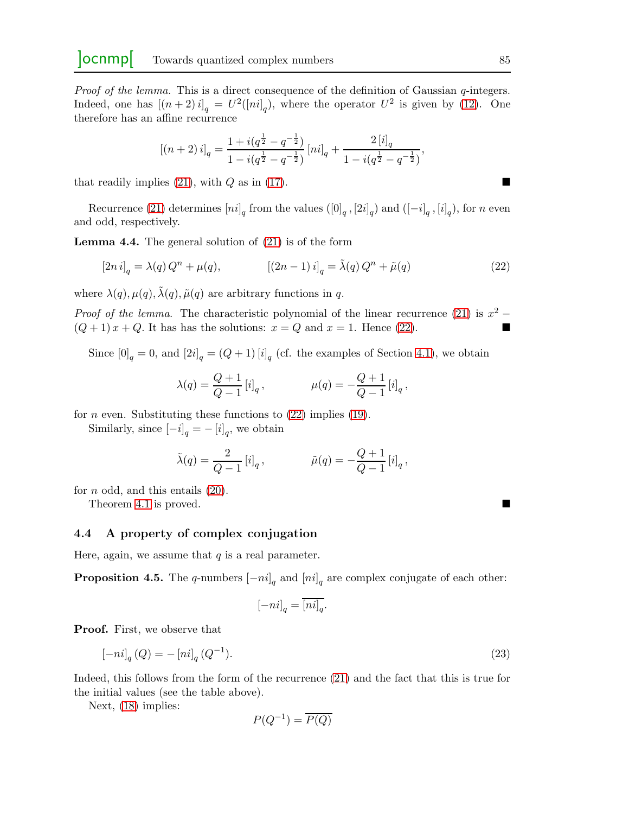Proof of the lemma. This is a direct consequence of the definition of Gaussian q-integers. Indeed, one has  $[(n+2)i]_q = U^2([ni]_q)$ , where the operator  $U^2$  is given by [\(12\)](#page-3-1). One therefore has an affine recurrence

<span id="page-12-0"></span>
$$
[(n+2) i]_q = \frac{1 + i(q^{\frac{1}{2}} - q^{-\frac{1}{2}})}{1 - i(q^{\frac{1}{2}} - q^{-\frac{1}{2}})} [ni]_q + \frac{2 [i]_q}{1 - i(q^{\frac{1}{2}} - q^{-\frac{1}{2}})},
$$

that readily implies [\(21\)](#page-11-2), with  $Q$  as in [\(17\)](#page-10-0).

Recurrence [\(21\)](#page-11-2) determines  $[n_i]_q$  from the values  $([0]_q, [2i]_q)$  and  $([-i]_q, [i]_q)$ , for n even and odd, respectively.

Lemma 4.4. The general solution of [\(21\)](#page-11-2) is of the form

$$
[2n i]_q = \lambda(q) Q^n + \mu(q), \qquad \qquad [(2n-1) i]_q = \tilde{\lambda}(q) Q^n + \tilde{\mu}(q) \tag{22}
$$

where  $\lambda(q)$ ,  $\mu(q)$ ,  $\tilde{\lambda}(q)$ ,  $\tilde{\mu}(q)$  are arbitrary functions in q.

*Proof of the lemma.* The characteristic polynomial of the linear recurrence [\(21\)](#page-11-2) is  $x^2$  –  $(Q+1)x+Q$ . It has has the solutions:  $x=Q$  and  $x=1$ . Hence [\(22\)](#page-12-0).

Since  $[0]_q = 0$ , and  $[2i]_q = (Q+1) [i]_q$  (cf. the examples of Section [4.1\)](#page-9-0), we obtain

$$
\lambda(q) = \frac{Q+1}{Q-1} [i]_q,
$$
\n $\mu(q) = -\frac{Q+1}{Q-1} [i]_q,$ 

for *n* even. Substituting these functions to  $(22)$  implies  $(19)$ .

Similarly, since  $[-i]_q = -[i]_q$ , we obtain

$$
\tilde{\lambda}(q) = \frac{2}{Q-1} [i]_q, \qquad \tilde{\mu}(q) = -\frac{Q+1}{Q-1} [i]_q,
$$

for  $n$  odd, and this entails  $(20)$ .

Theorem [4.1](#page-11-0) is proved.

#### 4.4 A property of complex conjugation

Here, again, we assume that  $q$  is a real parameter.

**Proposition 4.5.** The q-numbers  $[-ni]_q$  and  $[ni]_q$  are complex conjugate of each other:

<span id="page-12-1"></span>
$$
[-ni]_q = \overline{[ni]_q}.
$$

Proof. First, we observe that

$$
[-ni]_q(Q) = -[ni]_q(Q^{-1}).
$$
\n(23)

Indeed, this follows from the form of the recurrence [\(21\)](#page-11-2) and the fact that this is true for the initial values (see the table above).

Next, [\(18\)](#page-10-1) implies:

$$
P(Q^{-1}) = \overline{P(Q)}
$$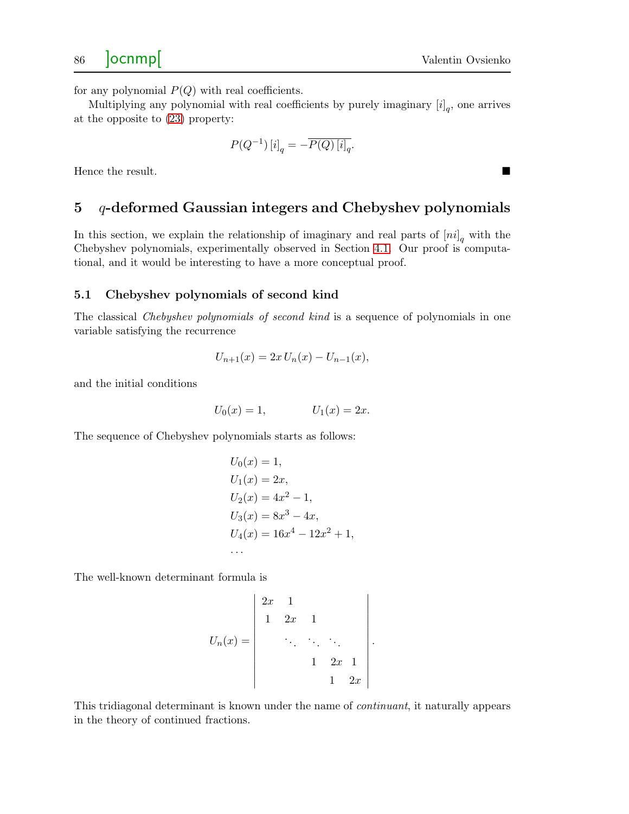for any polynomial  $P(Q)$  with real coefficients.

Multiplying any polynomial with real coefficients by purely imaginary  $[i]_q$ , one arrives at the opposite to [\(23\)](#page-12-1) property:

$$
P(Q^{-1})\left[i\right]_q = -\overline{P(Q)\left[i\right]_q}.
$$

<span id="page-13-0"></span>Hence the result.

## $5$  q-deformed Gaussian integers and Chebyshev polynomials

In this section, we explain the relationship of imaginary and real parts of  $[ni]_q$  with the Chebyshev polynomials, experimentally observed in Section [4.1.](#page-9-0) Our proof is computational, and it would be interesting to have a more conceptual proof.

#### 5.1 Chebyshev polynomials of second kind

The classical *Chebyshev polynomials of second kind* is a sequence of polynomials in one variable satisfying the recurrence

$$
U_{n+1}(x) = 2x U_n(x) - U_{n-1}(x),
$$

and the initial conditions

$$
U_0(x) = 1,
$$
  $U_1(x) = 2x.$ 

The sequence of Chebyshev polynomials starts as follows:

$$
U_0(x) = 1,
$$
  
\n
$$
U_1(x) = 2x,
$$
  
\n
$$
U_2(x) = 4x^2 - 1,
$$
  
\n
$$
U_3(x) = 8x^3 - 4x,
$$
  
\n
$$
U_4(x) = 16x^4 - 12x^2 + 1,
$$
  
\n...

The well-known determinant formula is

$$
U_n(x) = \begin{vmatrix} 2x & 1 & & \\ 1 & 2x & 1 & \\ & \ddots & \ddots & \ddots & \\ & & 1 & 2x & 1 \\ & & & 1 & 2x \end{vmatrix}.
$$

This tridiagonal determinant is known under the name of continuant, it naturally appears in the theory of continued fractions.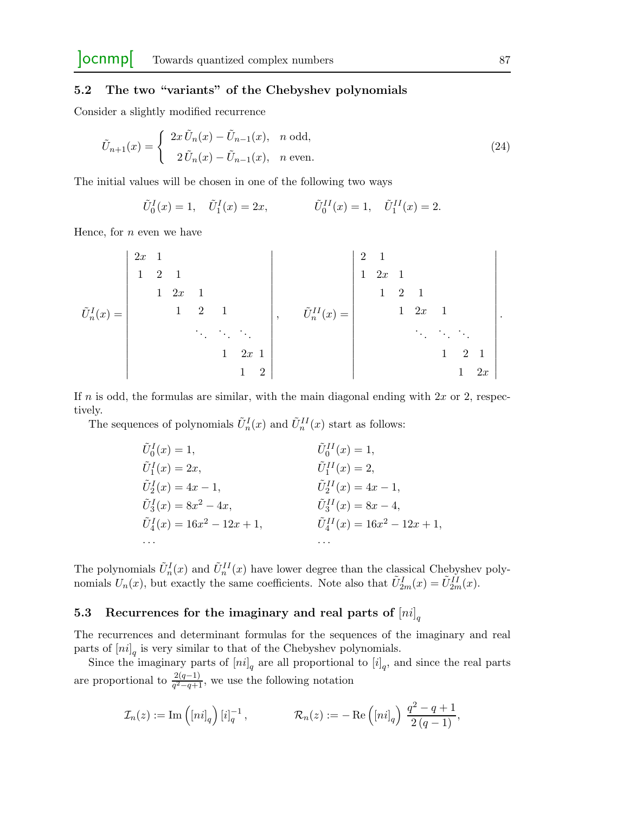## 5.2 The two "variants" of the Chebyshev polynomials

Consider a slightly modified recurrence

$$
\tilde{U}_{n+1}(x) = \begin{cases}\n2x \tilde{U}_n(x) - \tilde{U}_{n-1}(x), & n \text{ odd}, \\
2 \tilde{U}_n(x) - \tilde{U}_{n-1}(x), & n \text{ even}.\n\end{cases}
$$
\n(24)

The initial values will be chosen in one of the following two ways

<span id="page-14-0"></span>
$$
\tilde{U}_0^I(x) = 1, \quad \tilde{U}_1^I(x) = 2x, \qquad \qquad \tilde{U}_0^{II}(x) = 1, \quad \tilde{U}_1^{II}(x) = 2.
$$

Hence, for  $n$  even we have

$$
\tilde{U}_{n}^{I}(x) = \begin{vmatrix}\n2x & 1 & & & & & \\
1 & 2 & 1 & & & & \\
& & 1 & 2x & 1 & & \\
& & & \ddots & \ddots & \ddots & \\
& & & & 1 & 2x & 1 \\
& & & & & 1 & 2\n\end{vmatrix}, \qquad \tilde{U}_{n}^{II}(x) = \begin{vmatrix}\n2 & 1 & & & & & \\
1 & 2x & 1 & & & & \\
& & 1 & 2 & 1 & & \\
& & & \ddots & \ddots & \ddots & \\
& & & & & 1 & 2 & 1 \\
& & & & & & 1 & 2\n\end{vmatrix}.
$$

If n is odd, the formulas are similar, with the main diagonal ending with  $2x$  or 2, respectively.

The sequences of polynomials  $\tilde{U}_n^I(x)$  and  $\tilde{U}_n^{II}(x)$  start as follows:

| $\tilde{U}_0^I(x)=1,$                 | $\tilde{U}_0^{II}(x) = 1,$               |
|---------------------------------------|------------------------------------------|
| $\tilde{U}_1^I(x)=2x,$                | $\tilde{U}_1^{II}(x)=2,$                 |
| $\tilde{U}_2^I(x) = 4x - 1,$          | $\tilde{U}_2^{II}(x) = 4x - 1,$          |
| $\tilde{U}_3^I(x) = 8x^2 - 4x,$       | $\tilde{U}_3^{II}(x) = 8x - 4,$          |
| $\tilde{U}_4^I(x) = 16x^2 - 12x + 1,$ | $\tilde{U}^{II}_4(x) = 16x^2 - 12x + 1,$ |
| $\cdots$                              |                                          |

The polynomials  $\tilde{U}_n^I(x)$  and  $\tilde{U}_n^{II}(x)$  have lower degree than the classical Chebyshev polynomials  $U_n(x)$ , but exactly the same coefficients. Note also that  $\tilde{U}_{2m}^I(x) = \tilde{U}_{2m}^{II}(x)$ .

## 5.3 Recurrences for the imaginary and real parts of  $\left[ni\right]_q$

The recurrences and determinant formulas for the sequences of the imaginary and real parts of  $\left[ni\right]_q$  is very similar to that of the Chebyshev polynomials.

Since the imaginary parts of  $[n_i]_q$  are all proportional to  $[i]_q$ , and since the real parts are proportional to  $\frac{2(q-1)}{q^2-q+1}$ , we use the following notation

$$
\mathcal{I}_n(z) := \mathrm{Im} \left( [ni]_q \right) [i]_q^{-1}, \qquad \mathcal{R}_n(z) := - \mathrm{Re} \left( [ni]_q \right) \frac{q^2 - q + 1}{2(q - 1)},
$$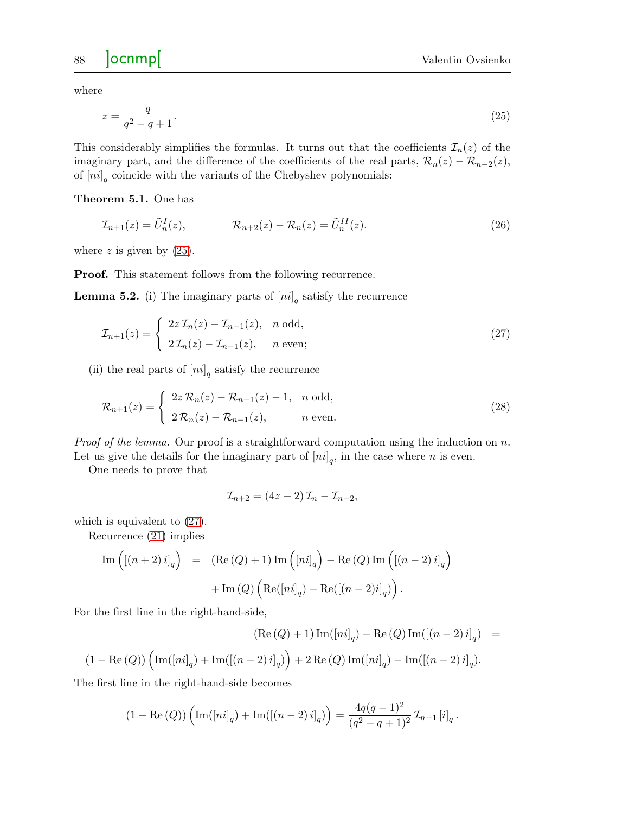where

<span id="page-15-1"></span>
$$
z = \frac{q}{q^2 - q + 1}.\tag{25}
$$

This considerably simplifies the formulas. It turns out that the coefficients  $\mathcal{I}_n(z)$  of the imaginary part, and the difference of the coefficients of the real parts,  $\mathcal{R}_n(z) - \mathcal{R}_{n-2}(z)$ , of  $\left[ni\right]_q$  coincide with the variants of the Chebyshev polynomials:

<span id="page-15-0"></span>Theorem 5.1. One has

<span id="page-15-4"></span>
$$
\mathcal{I}_{n+1}(z) = \tilde{U}_n^I(z), \qquad \mathcal{R}_{n+2}(z) - \mathcal{R}_n(z) = \tilde{U}_n^{II}(z). \tag{26}
$$

where  $z$  is given by  $(25)$ .

Proof. This statement follows from the following recurrence.

<span id="page-15-3"></span>**Lemma 5.2.** (i) The imaginary parts of  $\left[ni\right]_q$  satisfy the recurrence

$$
\mathcal{I}_{n+1}(z) = \begin{cases} 2z \mathcal{I}_n(z) - \mathcal{I}_{n-1}(z), & n \text{ odd}, \\ 2\mathcal{I}_n(z) - \mathcal{I}_{n-1}(z), & n \text{ even}; \end{cases}
$$
(27)

(ii) the real parts of  $[n_i]_q$  satisfy the recurrence

$$
\mathcal{R}_{n+1}(z) = \begin{cases} 2z\,\mathcal{R}_n(z) - \mathcal{R}_{n-1}(z) - 1, & n \text{ odd}, \\ 2\,\mathcal{R}_n(z) - \mathcal{R}_{n-1}(z), & n \text{ even}. \end{cases} \tag{28}
$$

*Proof of the lemma.* Our proof is a straightforward computation using the induction on  $n$ .

Let us give the details for the imaginary part of  $[n_i]_q$ , in the case where n is even.

One needs to prove that

<span id="page-15-2"></span>
$$
\mathcal{I}_{n+2} = (4z - 2)\mathcal{I}_n - \mathcal{I}_{n-2},
$$

which is equivalent to [\(27\)](#page-15-2).

Recurrence [\(21\)](#page-11-2) implies

$$
\begin{array}{rcl} \mathrm{Im}\left( \left[ \left( n+2\right) i\right] _{q}\right) & = & \left( \mathrm{Re}\left( Q\right) +1\right) \mathrm{Im}\left( \left[ ni\right] _{q}\right) -\mathrm{Re}\left( Q\right) \mathrm{Im}\left( \left[ \left( n-2\right) i\right] _{q}\right) \right. \\ & & \left. +\mathrm{Im}\left( Q\right) \left( \mathrm{Re}(\left[ ni\right] _{q})-\mathrm{Re}(\left[ \left( n-2\right) i\right] _{q})\right) . \end{array}
$$

For the first line in the right-hand-side,

$$
(\text{Re}(Q) + 1) \text{Im}([ni]_q) - \text{Re}(Q) \text{Im}([n-2)i]_q) =
$$

$$
(1 - \text{Re}(Q)) \left( \text{Im}([ni]_q) + \text{Im}([n-2)i]_q) \right) + 2 \text{Re}(Q) \text{Im}([ni]_q) - \text{Im}([n-2)i]_q).
$$

The first line in the right-hand-side becomes

$$
(1 - \text{Re}(Q)) \left( \text{Im}([ni]_q) + \text{Im}([n-2)i]_q) \right) = \frac{4q(q-1)^2}{(q^2 - q + 1)^2} \mathcal{I}_{n-1}[i]_q.
$$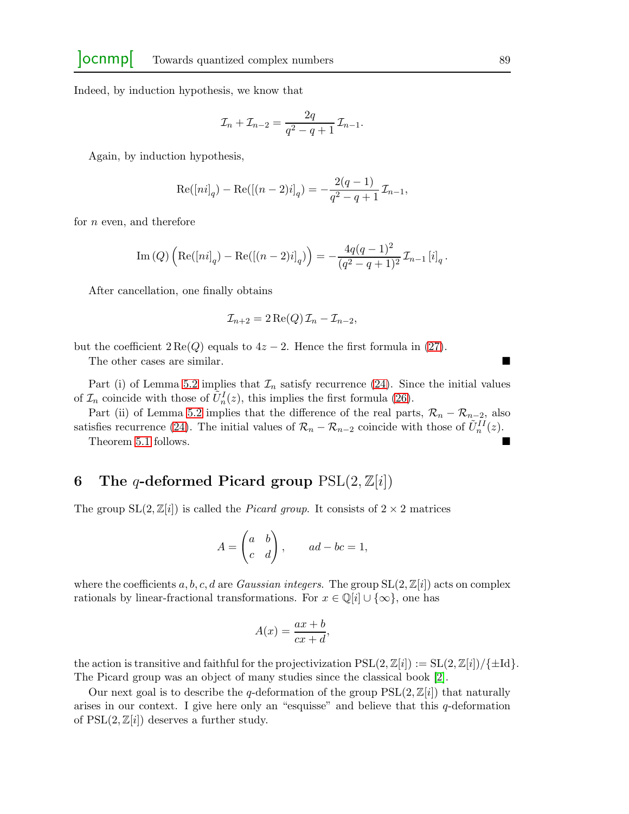Indeed, by induction hypothesis, we know that

$$
\mathcal{I}_n + \mathcal{I}_{n-2} = \frac{2q}{q^2 - q + 1} \mathcal{I}_{n-1}.
$$

Again, by induction hypothesis,

$$
Re([ni]_q) - Re([(n-2)i]_q) = -\frac{2(q-1)}{q^2 - q + 1} \mathcal{I}_{n-1},
$$

for n even, and therefore

Im (Q) 
$$
\left( \text{Re}([ni]_q) - \text{Re}([n-2)i]_q \right) \right) = -\frac{4q(q-1)^2}{(q^2-q+1)^2} \mathcal{I}_{n-1}[i]_q.
$$

After cancellation, one finally obtains

$$
\mathcal{I}_{n+2} = 2 \operatorname{Re}(Q) \mathcal{I}_n - \mathcal{I}_{n-2},
$$

but the coefficient  $2 \text{Re}(Q)$  equals to  $4z - 2$ . Hence the first formula in [\(27\)](#page-15-2).

The other cases are similar.

Part (i) of Lemma [5.2](#page-15-3) implies that  $\mathcal{I}_n$  satisfy recurrence [\(24\)](#page-14-0). Since the initial values of  $\mathcal{I}_n$  coincide with those of  $\tilde{U}_n^I(z)$ , this implies the first formula [\(26\)](#page-15-4).

Part (ii) of Lemma [5.2](#page-15-3) implies that the difference of the real parts,  $\mathcal{R}_n - \mathcal{R}_{n-2}$ , also satisfies recurrence [\(24\)](#page-14-0). The initial values of  $\mathcal{R}_n - \mathcal{R}_{n-2}$  coincide with those of  $\tilde{U}_n^{II}(z)$ .

Theorem [5.1](#page-15-0) follows.

## 6 The q-deformed Picard group  $PSL(2, \mathbb{Z}[i])$

The group  $SL(2,\mathbb{Z}[i])$  is called the *Picard group*. It consists of  $2 \times 2$  matrices

$$
A = \begin{pmatrix} a & b \\ c & d \end{pmatrix}, \qquad ad - bc = 1,
$$

where the coefficients a, b, c, d are Gaussian integers. The group  $SL(2,\mathbb{Z}[i])$  acts on complex rationals by linear-fractional transformations. For  $x \in \mathbb{Q}[i] \cup \{\infty\}$ , one has

$$
A(x) = \frac{ax+b}{cx+d},
$$

the action is transitive and faithful for the projectivization  $PSL(2,\mathbb{Z}[i]) := SL(2,\mathbb{Z}[i]) / \{\pm Id\}$ . The Picard group was an object of many studies since the classical book [\[2\]](#page-19-1).

Our next goal is to describe the q-deformation of the group  $PSL(2,\mathbb{Z}[i])$  that naturally arises in our context. I give here only an "esquisse" and believe that this  $q$ -deformation of  $PSL(2,\mathbb{Z}[i])$  deserves a further study.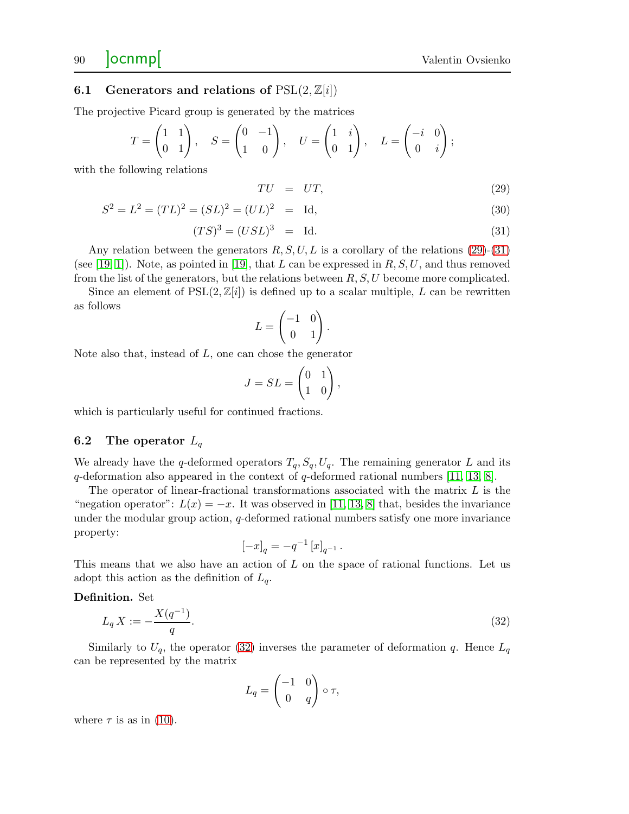## 90 **Ocnmp**

### 6.1 Generators and relations of  $PSL(2, \mathbb{Z}[i])$

The projective Picard group is generated by the matrices

$$
T = \begin{pmatrix} 1 & 1 \\ 0 & 1 \end{pmatrix}, \quad S = \begin{pmatrix} 0 & -1 \\ 1 & 0 \end{pmatrix}, \quad U = \begin{pmatrix} 1 & i \\ 0 & 1 \end{pmatrix}, \quad L = \begin{pmatrix} -i & 0 \\ 0 & i \end{pmatrix};
$$

with the following relations

<span id="page-17-0"></span>
$$
TU = UT,\t(29)
$$

$$
S2 = L2 = (TL)2 = (SL)2 = [UL]2 = Id,
$$
\n(30)

$$
(TS)^3 = (USL)^3 = Id.
$$
 (31)

Any relation between the generators  $R, S, U, L$  is a corollary of the relations [\(29\)](#page-17-0)-[\(31\)](#page-17-0) (see [\[19,](#page-20-12) [1\]](#page-19-2)). Note, as pointed in [\[19\]](#page-20-12), that L can be expressed in  $R, S, U$ , and thus removed from the list of the generators, but the relations between  $R$ ,  $S$ ,  $U$  become more complicated.

Since an element of  $PSL(2,\mathbb{Z}[i])$  is defined up to a scalar multiple, L can be rewritten as follows

$$
L = \begin{pmatrix} -1 & 0 \\ 0 & 1 \end{pmatrix}.
$$

Note also that, instead of  $L$ , one can chose the generator

$$
J = SL = \begin{pmatrix} 0 & 1 \\ 1 & 0 \end{pmatrix},
$$

which is particularly useful for continued fractions.

### 6.2 The operator  $L_q$

We already have the q-deformed operators  $T_q$ ,  $S_q$ ,  $U_q$ . The remaining generator L and its q-deformation also appeared in the context of q-deformed rational numbers  $[11, 13, 8]$  $[11, 13, 8]$  $[11, 13, 8]$ .

The operator of linear-fractional transformations associated with the matrix  $L$  is the "negation operator":  $L(x) = -x$ . It was observed in [\[11,](#page-20-0) [13,](#page-20-2) [8\]](#page-20-3) that, besides the invariance under the modular group action,  $q$ -deformed rational numbers satisfy one more invariance property:

$$
\left[ -x \right]_q = -q^{-1} \left[ x \right]_{q^{-1}}.
$$

This means that we also have an action of L on the space of rational functions. Let us adopt this action as the definition of  $L_q$ .

Definition. Set

<span id="page-17-1"></span>
$$
L_q X := -\frac{X(q^{-1})}{q}.\tag{32}
$$

Similarly to  $U_q$ , the operator [\(32\)](#page-17-1) inverses the parameter of deformation q. Hence  $L_q$ can be represented by the matrix

$$
L_q = \begin{pmatrix} -1 & 0 \\ 0 & q \end{pmatrix} \circ \tau,
$$

where  $\tau$  is as in [\(10\)](#page-3-2).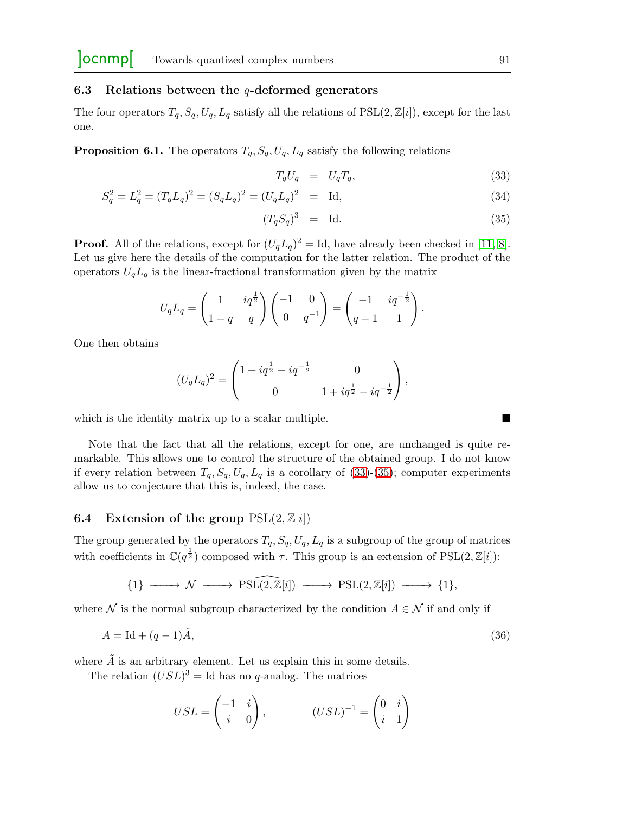### 6.3 Relations between the  $q$ -deformed generators

The four operators  $T_q$ ,  $S_q$ ,  $U_q$ ,  $L_q$  satisfy all the relations of PSL(2,  $\mathbb{Z}[i]$ ), except for the last one.

**Proposition 6.1.** The operators  $T_q$ ,  $S_q$ ,  $U_q$ ,  $L_q$  satisfy the following relations

<span id="page-18-0"></span>
$$
T_q U_q = U_q T_q, \t\t(33)
$$

$$
S_q^2 = L_q^2 = (T_q L_q)^2 = (S_q L_q)^2 = (U_q L_q)^2 = \text{Id},\tag{34}
$$

$$
(T_q S_q)^3 = Id. \t\t(35)
$$

**Proof.** All of the relations, except for  $(U_qL_q)^2 = \text{Id}$ , have already been checked in [\[11,](#page-20-0) [8\]](#page-20-3). Let us give here the details of the computation for the latter relation. The product of the operators  $U_qL_q$  is the linear-fractional transformation given by the matrix

$$
U_q L_q = \begin{pmatrix} 1 & iq^{\frac{1}{2}} \\ 1 - q & q \end{pmatrix} \begin{pmatrix} -1 & 0 \\ 0 & q^{-1} \end{pmatrix} = \begin{pmatrix} -1 & iq^{-\frac{1}{2}} \\ q - 1 & 1 \end{pmatrix}.
$$

One then obtains

$$
(U_q L_q)^2 = \begin{pmatrix} 1 + iq^{\frac{1}{2}} - iq^{-\frac{1}{2}} & 0 \\ 0 & 1 + iq^{\frac{1}{2}} - iq^{-\frac{1}{2}} \end{pmatrix},
$$

which is the identity matrix up to a scalar multiple.

Note that the fact that all the relations, except for one, are unchanged is quite remarkable. This allows one to control the structure of the obtained group. I do not know if every relation between  $T_q$ ,  $S_q$ ,  $U_q$ ,  $L_q$  is a corollary of [\(33\)](#page-18-0)-[\(35\)](#page-18-0); computer experiments allow us to conjecture that this is, indeed, the case.

## 6.4 Extension of the group  $PSL(2, \mathbb{Z}[i])$

The group generated by the operators  $T_q$ ,  $S_q$ ,  $U_q$ ,  $L_q$  is a subgroup of the group of matrices with coefficients in  $\mathbb{C}(q^{\frac{1}{2}})$  composed with  $\tau$ . This group is an extension of PSL(2, Z[i]):

$$
\{1\} \longrightarrow \mathcal{N} \longrightarrow \mathrm{PSL}(2,\mathbb{Z}[i]) \longrightarrow \mathrm{PSL}(2,\mathbb{Z}[i]) \longrightarrow \{1\},
$$

where  $\mathcal N$  is the normal subgroup characterized by the condition  $A \in \mathcal N$  if and only if

$$
A = \text{Id} + (q-1)\tilde{A},\tag{36}
$$

where  $\tilde{A}$  is an arbitrary element. Let us explain this in some details.

The relation  $(USL)^3 =$ Id has no q-analog. The matrices

$$
USL = \begin{pmatrix} -1 & i \\ i & 0 \end{pmatrix}, \qquad (USL)^{-1} = \begin{pmatrix} 0 & i \\ i & 1 \end{pmatrix}
$$

<span id="page-18-1"></span>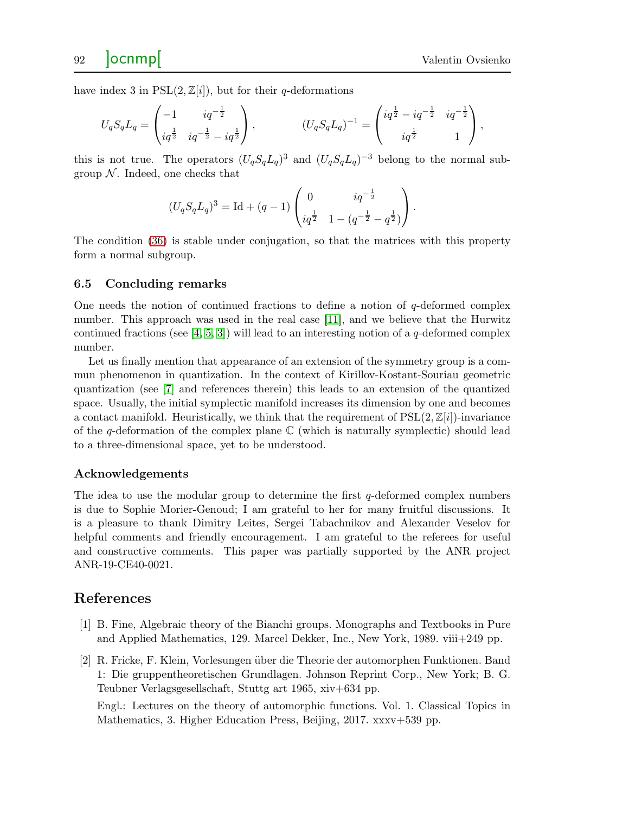have index 3 in  $PSL(2,\mathbb{Z}[i])$ , but for their q-deformations

$$
U_q S_q L_q = \begin{pmatrix} -1 & iq^{-\frac{1}{2}} \\ iq^{\frac{1}{2}} & iq^{-\frac{1}{2}} - iq^{\frac{1}{2}} \end{pmatrix}, \qquad (U_q S_q L_q)^{-1} = \begin{pmatrix} iq^{\frac{1}{2}} - iq^{-\frac{1}{2}} & iq^{-\frac{1}{2}} \\ iq^{\frac{1}{2}} & 1 \end{pmatrix},
$$

this is not true. The operators  $(U_qS_qL_q)^3$  and  $(U_qS_qL_q)^{-3}$  belong to the normal subgroup  $N$ . Indeed, one checks that

$$
(U_q S_q L_q)^3 = \mathrm{Id} + (q-1) \begin{pmatrix} 0 & iq^{-\frac{1}{2}} \\ iq^{\frac{1}{2}} & 1 - (q^{-\frac{1}{2}} - q^{\frac{1}{2}}) \end{pmatrix}.
$$

The condition [\(36\)](#page-18-1) is stable under conjugation, so that the matrices with this property form a normal subgroup.

#### 6.5 Concluding remarks

One needs the notion of continued fractions to define a notion of  $q$ -deformed complex number. This approach was used in the real case [\[11\]](#page-20-0), and we believe that the Hurwitz continued fractions (see [\[4,](#page-20-13) [5,](#page-20-14) [3\]](#page-20-15)) will lead to an interesting notion of a q-deformed complex number.

Let us finally mention that appearance of an extension of the symmetry group is a commun phenomenon in quantization. In the context of Kirillov-Kostant-Souriau geometric quantization (see [\[7\]](#page-20-16) and references therein) this leads to an extension of the quantized space. Usually, the initial symplectic manifold increases its dimension by one and becomes a contact manifold. Heuristically, we think that the requirement of  $PSL(2,\mathbb{Z}[i])$ -invariance of the q-deformation of the complex plane  $\mathbb C$  (which is naturally symplectic) should lead to a three-dimensional space, yet to be understood.

#### Acknowledgements

The idea to use the modular group to determine the first  $q$ -deformed complex numbers is due to Sophie Morier-Genoud; I am grateful to her for many fruitful discussions. It is a pleasure to thank Dimitry Leites, Sergei Tabachnikov and Alexander Veselov for helpful comments and friendly encouragement. I am grateful to the referees for useful and constructive comments. This paper was partially supported by the ANR project ANR-19-CE40-0021.

## <span id="page-19-2"></span><span id="page-19-0"></span>References

- <span id="page-19-1"></span>[1] B. Fine, Algebraic theory of the Bianchi groups. Monographs and Textbooks in Pure and Applied Mathematics, 129. Marcel Dekker, Inc., New York, 1989. viii+249 pp.
- [2] R. Fricke, F. Klein, Vorlesungen ¨uber die Theorie der automorphen Funktionen. Band 1: Die gruppentheoretischen Grundlagen. Johnson Reprint Corp., New York; B. G. Teubner Verlagsgesellschaft, Stuttg art 1965, xiv+634 pp.

Engl.: Lectures on the theory of automorphic functions. Vol. 1. Classical Topics in Mathematics, 3. Higher Education Press, Beijing, 2017. xxxv+539 pp.